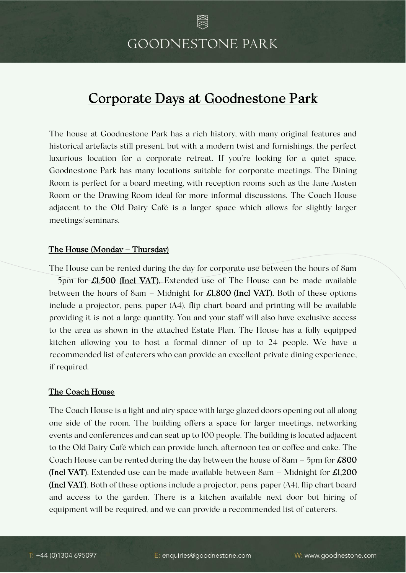# **GOODNESTONE PARK**

## Corporate Days at Goodnestone Park

The house at Goodnestone Park has a rich history, with many original features and historical artefacts still present, but with a modern twist and furnishings, the perfect luxurious location for a corporate retreat. If you're looking for a quiet space, Goodnestone Park has many locations suitable for corporate meetings. The Dining Room is perfect for a board meeting, with reception rooms such as the Jane Austen Room or the Drawing Room ideal for more informal discussions. The Coach House adjacent to the Old Dairy Café is a larger space which allows for slightly larger meetings/seminars.

### The House (Monday – Thursday)

The House can be rented during the day for corporate use between the hours of 8am  $-$  5pm for  $\pounds1,500$  (Incl VAT). Extended use of The House can be made available between the hours of 8am – Midnight for  $\pounds1,800$  (Incl VAT). Both of these options include a projector, pens, paper (A4), flip chart board and printing will be available providing it is not a large quantity. You and your staff will also have exclusive access to the area as shown in the attached Estate Plan. The House has a fully equipped kitchen allowing you to host a formal dinner of up to 24 people. We have a recommended list of caterers who can provide an excellent private dining experience, if required.

#### The Coach House

The Coach House is a light and airy space with large glazed doors opening out all along one side of the room. The building offers a space for larger meetings, networking events and conferences and can seat up to 100 people. The building is located adjacent to the Old Dairy Café which can provide lunch, afternoon tea or coffee and cake. The Coach House can be rented during the day between the house of  $8am - 5pm$  for  $\pounds 800$ (Incl VAT). Extended use can be made available between  $8am - Midnight$  for  $\pounds1,200$ (Incl VAT). Both of these options include a projector, pens, paper (A4), flip chart board and access to the garden. There is a kitchen available next door but hiring of equipment will be required, and we can provide a recommended list of caterers.